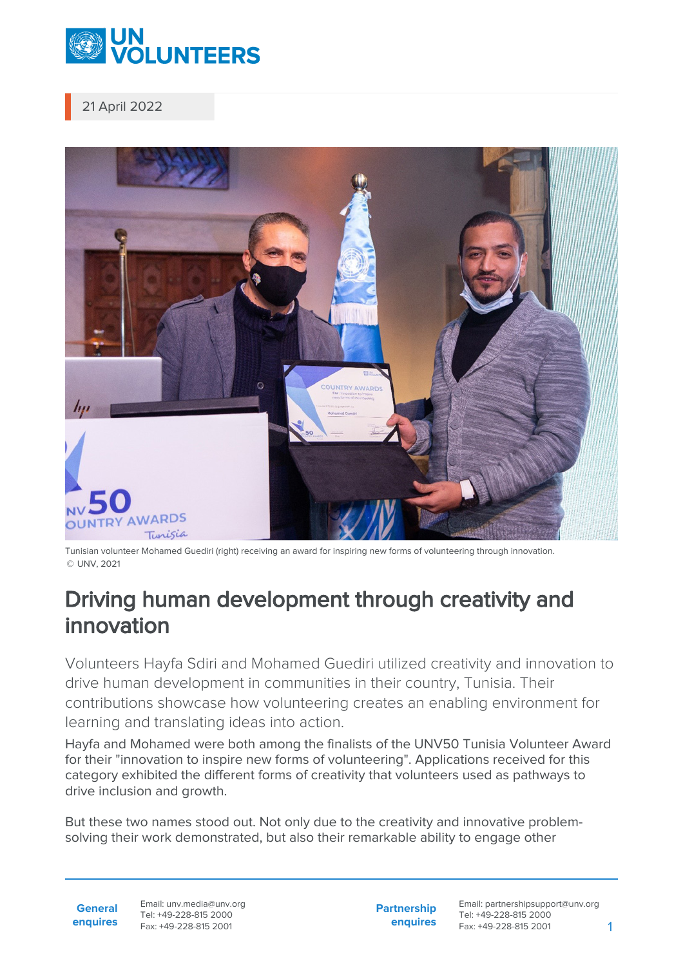

21 April 2022



Tunisian volunteer Mohamed Guediri (right) receiving an award for inspiring new forms of volunteering through innovation. © UNV, 2021

## Driving human development through creativity and innovation

Volunteers Hayfa Sdiri and Mohamed Guediri utilized creativity and innovation to drive human development in communities in their country, Tunisia. Their contributions showcase how volunteering creates an enabling environment for learning and translating ideas into action.

Hayfa and Mohamed were both among the finalists of the UNV50 Tunisia Volunteer Award for their "innovation to inspire new forms of volunteering". Applications received for this category exhibited the different forms of creativity that volunteers used as pathways to drive inclusion and growth.

But these two names stood out. Not only due to the creativity and innovative problemsolving their work demonstrated, but also their remarkable ability to engage other

**General enquires** Email: unv.media@unv.org Tel: +49-228-815 2000 Fax: +49-228-815 2001

**Partnership enquires**

Email: partnershipsupport@unv.org Tel: +49-228-815 2000 Fax: +49-228-815 2001 1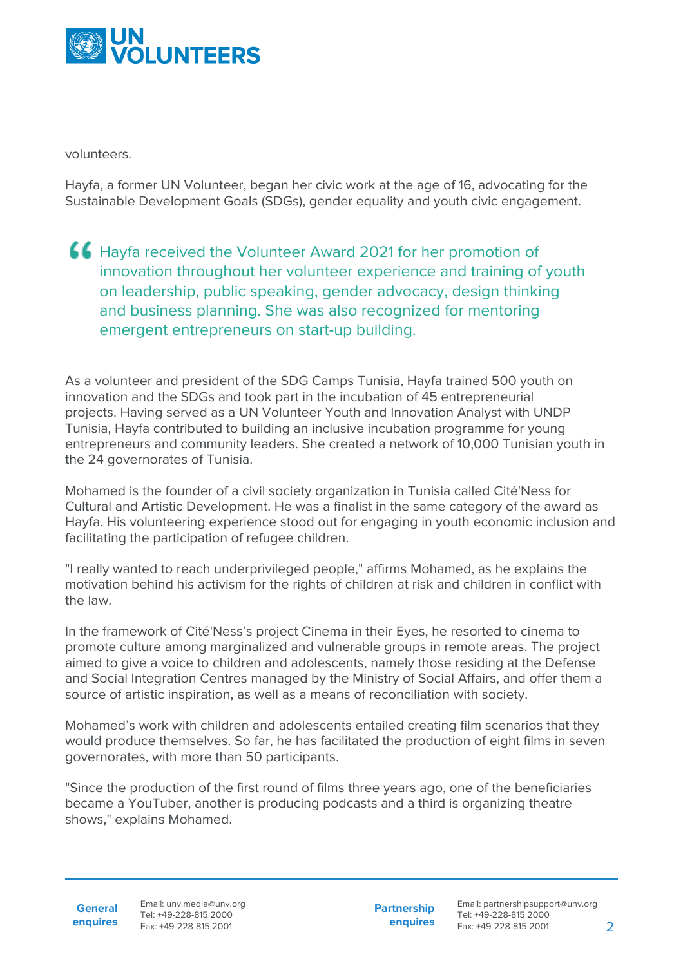

volunteers.

Hayfa, a former UN Volunteer, began her civic work at the age of 16, advocating for the Sustainable Development Goals (SDGs), gender equality and youth civic engagement.

Hayfa received the Volunteer Award 2021 for her promotion of innovation throughout her volunteer experience and training of youth on leadership, public speaking, gender advocacy, design thinking and business planning. She was also recognized for mentoring emergent entrepreneurs on start-up building.

As a volunteer and president of the SDG Camps Tunisia, Hayfa trained 500 youth on innovation and the SDGs and took part in the incubation of 45 entrepreneurial projects. Having served as a UN Volunteer Youth and Innovation Analyst with UNDP Tunisia, Hayfa contributed to building an inclusive incubation programme for young entrepreneurs and community leaders. She created a network of 10,000 Tunisian youth in the 24 governorates of Tunisia.

Mohamed is the founder of a civil society organization in Tunisia called Cité'Ness for Cultural and Artistic Development. He was a finalist in the same category of the award as Hayfa. His volunteering experience stood out for engaging in youth economic inclusion and facilitating the participation of refugee children.

"I really wanted to reach underprivileged people," affirms Mohamed, as he explains the motivation behind his activism for the rights of children at risk and children in conflict with the law.

In the framework of Cité'Ness's project Cinema in their Eyes, he resorted to cinema to promote culture among marginalized and vulnerable groups in remote areas. The project aimed to give a voice to children and adolescents, namely those residing at the Defense and Social Integration Centres managed by the Ministry of Social Affairs, and offer them a source of artistic inspiration, as well as a means of reconciliation with society.

Mohamed's work with children and adolescents entailed creating film scenarios that they would produce themselves. So far, he has facilitated the production of eight films in seven governorates, with more than 50 participants.

"Since the production of the first round of films three years ago, one of the beneficiaries became a YouTuber, another is producing podcasts and a third is organizing theatre shows," explains Mohamed.

**General**

**enquires** Fax: +49-228-815 2001 Email: unv.media@unv.org Tel: +49-228-815 2000

**Partnership enquires**

Email: partnershipsupport@unv.org Tel: +49-228-815 2000 Fax: +49-228-815 2001 2